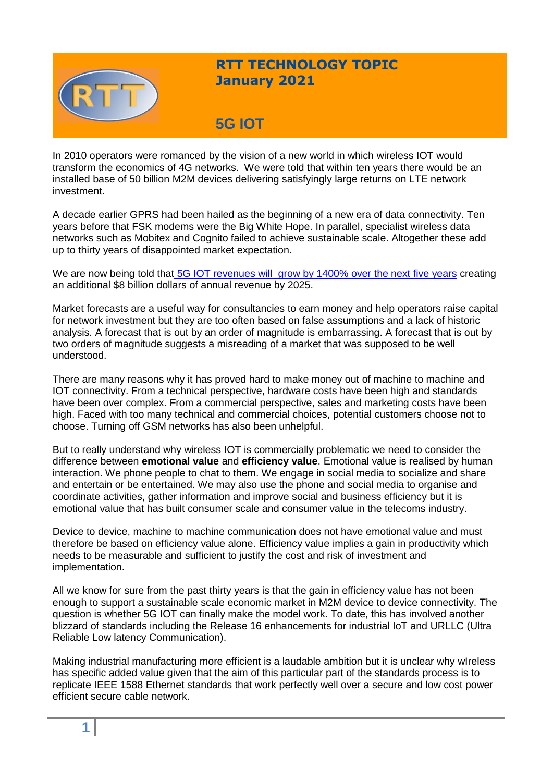

## **RTT TECHNOLOGY TOPIC January 2021**

# **5G IOT**

In 2010 operators were romanced by the vision of a new world in which wireless IOT would transform the economics of 4G networks. We were told that within ten years there would be an installed base of 50 billion M2M devices delivering satisfyingly large returns on LTE network investment.

A decade earlier GPRS had been hailed as the beginning of a new era of data connectivity. Ten years before that FSK modems were the Big White Hope. In parallel, specialist wireless data networks such as Mobitex and Cognito failed to achieve sustainable scale. Altogether these add up to thirty years of disappointed market expectation.

We are now being told that [5G IOT revenues will grow by 1400% over the next five](https://enterpriseiotinsights.com/20200218/channels/news/5g-iot-revenues-to-spiral-to-8bn-by-2025) years creating an additional \$8 billion dollars of annual revenue by 2025.

Market forecasts are a useful way for consultancies to earn money and help operators raise capital for network investment but they are too often based on false assumptions and a lack of historic analysis. A forecast that is out by an order of magnitude is embarrassing. A forecast that is out by two orders of magnitude suggests a misreading of a market that was supposed to be well understood.

There are many reasons why it has proved hard to make money out of machine to machine and IOT connectivity. From a technical perspective, hardware costs have been high and standards have been over complex. From a commercial perspective, sales and marketing costs have been high. Faced with too many technical and commercial choices, potential customers choose not to choose. Turning off GSM networks has also been unhelpful.

But to really understand why wireless IOT is commercially problematic we need to consider the difference between **emotional value** and **efficiency value**. Emotional value is realised by human interaction. We phone people to chat to them. We engage in social media to socialize and share and entertain or be entertained. We may also use the phone and social media to organise and coordinate activities, gather information and improve social and business efficiency but it is emotional value that has built consumer scale and consumer value in the telecoms industry.

Device to device, machine to machine communication does not have emotional value and must therefore be based on efficiency value alone. Efficiency value implies a gain in productivity which needs to be measurable and sufficient to justify the cost and risk of investment and implementation.

All we know for sure from the past thirty years is that the gain in efficiency value has not been enough to support a sustainable scale economic market in M2M device to device connectivity. The question is whether 5G IOT can finally make the model work. To date, this has involved another blizzard of standards including the Release 16 enhancements for industrial IoT and URLLC (Ultra Reliable Low latency Communication).

Making industrial manufacturing more efficient is a laudable ambition but it is unclear why wIreless has specific added value given that the aim of this particular part of the standards process is to replicate IEEE 1588 Ethernet standards that work perfectly well over a secure and low cost power efficient secure cable network.